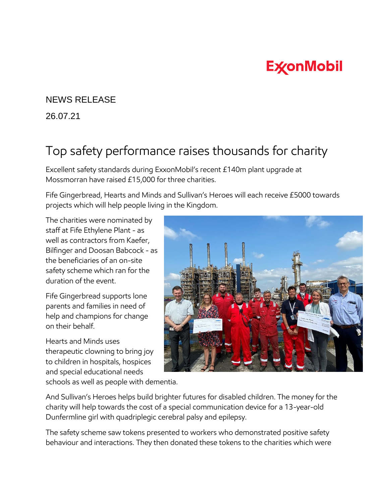## **ExconMobil**

## NEWS RELEASE

26.07.21

## Top safety performance raises thousands for charity

Excellent safety standards during ExxonMobil's recent £140m plant upgrade at Mossmorran have raised £15,000 for three charities.

Fife Gingerbread, Hearts and Minds and Sullivan's Heroes will each receive £5000 towards projects which will help people living in the Kingdom.

The charities were nominated by staff at Fife Ethylene Plant - as well as contractors from Kaefer, Bilfinger and Doosan Babcock - as the beneficiaries of an on-site safety scheme which ran for the duration of the event.

Fife Gingerbread supports lone parents and families in need of help and champions for change on their behalf.

Hearts and Minds uses therapeutic clowning to bring joy to children in hospitals, hospices and special educational needs schools as well as people with dementia.

And Sullivan's Heroes helps build brighter futures for disabled children. The money for the charity will help towards the cost of a special communication device for a 13-year-old Dunfermline girl with quadriplegic cerebral palsy and epilepsy.

The safety scheme saw tokens presented to workers who demonstrated positive safety behaviour and interactions. They then donated these tokens to the charities which were